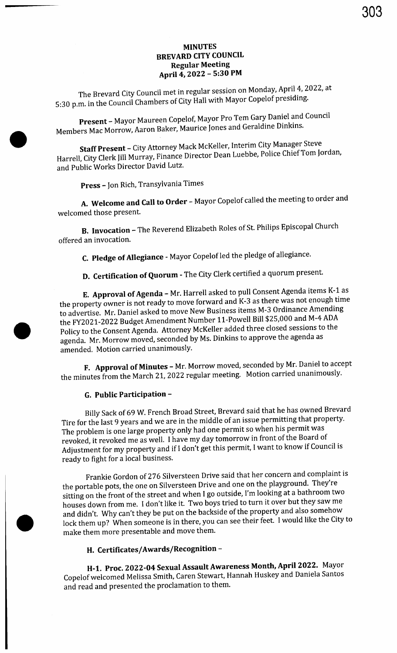#### MINUTES BREVARD CITY COUNCIL Regular Meeting April 4, 2022 - 5:30 PM

303

The Brevard City Council met in regular session on Monday, April 4, 2022, at 5: 30 p.m. in the Council Chambers of City Hall with Mayor Copelof presiding.

Present - Mayor Maureen Copelof, Mayor Pro Tem Gary Daniel and Council Members Mac Morrow, Aaron Baker, Maurice Jones and Geraldine Dinkins.

Staff Present - City Attorney Mack McKeller, Interim City Manager Steve Harrell, City Clerk Jill Murray, Finance Director Dean Luebbe, Police Chief Tom Jordan, and Public Works Director David Lutz.

Press - Jon Rich, Transylvania Times

A. Welcome and Call to Order - Mayor Copelof called the meeting to order and welcomed those present.

B. Invocation - The Reverend Elizabeth Roles of St. Philips Episcopal Church offered an invocation.

C. Pledge of Allegiance - Mayor Copelof led the pledge of allegiance.

D. Certification of Quorum - The City Clerk certified <sup>a</sup> quorum present.

E. Approval of Agenda - Mr. Harrell asked to pull Consent Agenda items K-1 as the property owner is not ready to move forward and K-3 as there was not enough time to advertise. Mr. Daniel asked to move New Business items M- 3 Ordinance Amending the FY2021-2022 Budget Amendment Number 11-Powell Bill \$25,000 and M-4 ADA Policy to the Consent Agenda. Attorney McKeller added three closed sessions to the agenda. Mr. Morrow moved, seconded by Ms. Dinkins to approve the agenda as amended. Motion carried unanimously.

F. Approval of Minutes - Mr. Morrow moved, seconded by Mr. Daniel to accept the minutes from the March 21, 2022 regular meeting. Motion carried unanimously.

#### G. Public Participation -

Billy Sack of 69 W. French Broad Street, Brevard said that he has owned Brevard Tire for the last 9 years and we are in the middle of an issue permitting that property. The problem is one large property only had one permit so when his permit was revoked, it revoked me as well. I have my day tomorrow in front of the Board of Adjustment for my property and if I don't get this permit, I want to know if Council is ready to fight for a local business.

Frankie Gordon of 276 Silversteen Drive said that her concern and complaint is the portable pots, the one on Silversteen Drive and one on the playground. They're sitting on the front of the street and when I go outside, I'm looking at a bathroom two houses down from me. I don't like it. Two boys tried to turn it over but they saw me and didn't. Why can't they be put on the backside of the property and also somehow lock them up? When someone is in there, you can see their feet. I would like the City to make them more presentable and move them.

#### H. Certificates/Awards/Recognition -

H-1. Proc. 2022-04 Sexual Assault Awareness Month, April 2022. Mayor Copelof welcomed Melissa Smith, Caren Stewart, Hannah Huskey and Daniela Santos and read and presented the proclamation to them.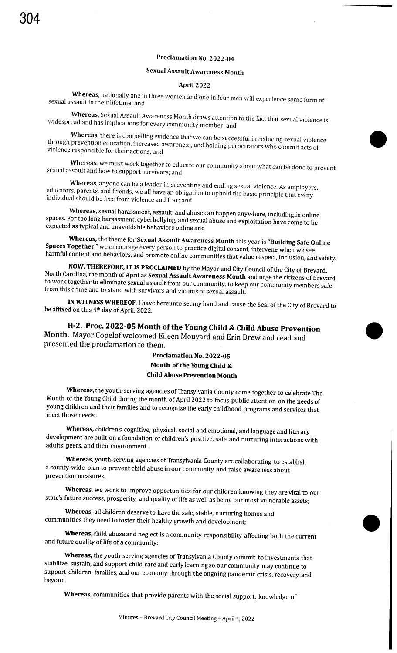#### Proclamation No. 2022-04

#### Sexual Assault Awareness Month

#### April 2022

Whereas, nationally one in three women and one in four men will experience some form of sexual assault in their lifetime: and

Whereas, Sexual Assault Awareness Month draws attention to the fact that sexual violence is widespread and has implications for every community member; and

Whereas, there is compelling evidence that we can be successful in reducing sexual violence through prevention education, increased awareness, and holding perpetrators who commit acts of violence responsible for their actions; and

Whereas, we must work together to educate our community about what can be done to prevent sexual assault and how to support survivors; and

Whereas, anyone can be a leader in preventing and ending sexual violence. As employers, educators, parents, and friends, we all have an obligation to uphold the basic principle that every individual should be free from violence and fear; and

Whereas, sexual harassment, assault, and abuse can happen anywhere, including in online spaces. For too long harassment, cyberbullying, and sexual abuse and exploitation have come to be expected as typical and unavoidable behaviors online and

Whereas, the theme for Sexual Assault Awareness Month this year is "Building Safe Online Spaces Together," we encourage every person to practice digital consent, intervene when we see harmful content and behaviors, and promote online communities that value respect, inclusion, and safety.<br>NOW, THEREFORE, IT IS PROCLAIMED by the Mayor and City Council of the City of Brevard,

Now, Therefore, IT IS I NOUGHING by the Mayor and City Council of the City of Brevard, Note the carolina, the month of April as **Sexual Assault Awareness Month** and urge the citizens of Brevard to work together to eliminate sexual assault from our community, to keep our community members safe from this crime and to stand with survivors and victims of sexual assault.

IN WITNESS WHEREOF, I have hereunto set my hand and cause the Seal of the City of Brevard to be affixed on this 4<sup>th</sup> day of April, 2022.

H-2. Proc. 2022-05 Month of the Young Child & Child Abuse Prevention Month. Mayor Copelof welcomed Eileen Mouyard and Erin Drew and read and presented the proclamation to them.

#### Proclamation No. 2022-05 Month of the Young Child & Child Abuse Prevention Month

Whereas, the youth-serving agencies of Transylvania County come together to celebrate The Month of the Young Child during the month of April 2022 to focus public attention on the needs of young children and their families and to recognize the early childhood programs and services that meet those needs.

Whereas, children's cognitive, physical, social and emotional, and language and literacy development are built on <sup>a</sup> foundation of children's positive, safe, and nurturing interactions with adults, peers, and their environment.

Whereas, youth-serving agencies of Transylvania County are collaborating to establish a county -wide plan to prevent child abuse in our community and raise awareness about prevention measures.

Whereas, we work to improve opportunities for our children knowing they are vital to our state's future success, prosperity, and quality of life as well as being our most vulnerable assets;

Whereas, all children deserve to have the safe, stable, nurturing homes and communities they need to foster their healthy growth and development;

Whereas, child abuse and neglect is a community responsibility affecting both the current and future quality of life of <sup>a</sup> community;

Whereas, the youth-serving agencies of Transylvania County commit to investments that stabilize, sustain, and support child care and early learning so our community may continue to support children, families, and our economy through the ongoing pandemic crisis, recovery, and beyond.

Whereas, communities that provide parents with the social support, knowledge of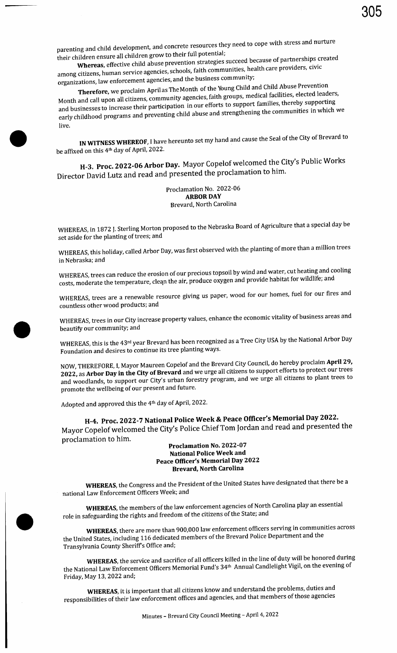parenting and child development, and concrete resources they need to cope with stress and nurture their children ensure all children grow to their full potential;

Whereas, effective child abuse prevention strategies succeed because of partnerships created among citizens, human service agencies, schools, faith communities, health care providers, civic

organizations, law enforcement agencies, and the business community;<br> **Therefore**, we proclaim April as The Month of the Young Child and Child Abuse Prevention Therefore, we proclaim April as The Month of the Young Child and Child and Child and Child Abademention and Child Abuse Predeted Jeads Month and call upon all citizens, community agencies, faith groups, meant families, thereby supporting and businesses to increase their participation in our efforts to support families, thereby supporting early childhood programs and preventing child abuse and strengthening the communities in which we live.

IN WITNESS WHEREOF, I have hereunto set my hand and cause the Seal of the City of Brevard to be affixed on this 4th day of April, 2022.

H-3. Proc. 2022-06 Arbor Day. Mayor Copelof welcomed the City's Public Works Director David Lutz and read and presented the proclamation to him.

#### Proclamation No. 2022-06 ARBOR DAY Brevard, North Carolina

WHEREAS, in 1872 J. Sterling Morton proposed to the Nebraska Board of Agriculture that a special day be set aside for the planting of trees; and

WHEREAS, this holiday, called Arbor Day, was first observed with the planting of more than a million trees in Nebraska; and

WHEREAS, trees can reduce the erosion of our precious topsoil by wind and water, cut heating and cooling costs, moderate the temperature, clean the air, produce oxygen and provide habitat for wildlife; and

WHEREAS, trees are a renewable resource giving us paper, wood for our homes, fuel for our fires and countless other wood products; and

WHEREAS, trees in our City increase property values, enhance the economic vitality of business areas and beautify our community; and

WHEREAS, this is the 43rd year Brevard has been recognized as a Tree City USA by the National Arbor Day Foundation and desires to continue its tree planting ways.

NOW, THEREFORE, I, Mayor Maureen Copelof and the Brevard City Council, do hereby proclaim April 29, 2022, as Arbor Day in the City of Brevard and we urge all citizens to support efforts to protect our trees and woodlands, to support our City's urban forestry program, and we urge all citizens to plant trees to promote the wellbeing of our present and future.

Adopted and approved this the 4th day of April, 2022.

 $\bullet$ 

J

H-4. Proc. 2022-7 National Police Week & Peace Officer's Memorial Day 2022. Mayor Copelof welcomed the City's Police Chief Tom Jordan and read and presented the proclamation to him.

#### Proclamation No. 2022-07 National Police Week and Peace Officer's Memorial Day 2022 Brevard, North Carolina

WHEREAS, the Congress and the President of the United States have designated that there be a national Law Enforcement Officers Week; and

WHEREAS, the members of the law enforcement agencies of North Carolina play an essential role in safeguarding the rights and freedom of the citizens of the State; and

WHEREAS, there are more than 900,000 law enforcement officers serving in communities across the United States, including 116 dedicated members of the Brevard Police Department and the Transylvania County Sheriff <sup>s</sup> Office and;

WHEREAS, the service and sacrifice of all officers killed in the line of duty will be honored during the National Law Enforcement Officers Memorial Fund's 34<sup>th</sup> Annual Candlelight Vigil, on the evening of Friday, May 13, 2022 and;

WHEREAS, it is important that all citizens know and understand the problems, duties and responsibilities of their law enforcement offices and agencies, and that members of those agencies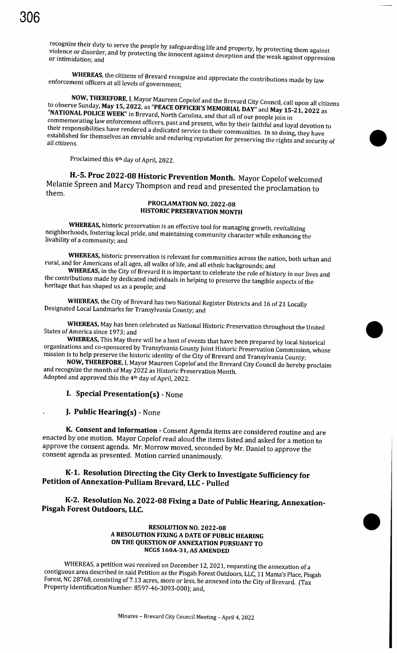recognize their duty to serve the people by safeguarding life and property, by protecting them against violence or disorder, and by protecting the innocent against deception and the weak against oppression

WHEREAS, the citizens of Brevard recognize and appreciate the contributions made by law enforcement officers at all levels of government;

NOW, THEREFORE, I, Mayor Maureen Copelof and the Brevard City Council, call upon all citizens to observe Sunday, May 15, 2022, as "PEACE OFFICER'S MEMORIAL DAY" and May 15-21, 2022 as NATIONAL POLICE WEEK" in Brevard, North Carolina, and that all of our people join in commemorating law enforcement officers, past and present, who by their faithful and loyal devotion to<br>their responsibilities have rendered a dedicated service to their communities. In so doing, they have  $t$  responsibilities have responsible and conducted service to their communities. In so doing, they have all citizens. For the mass and enduring reputation for preserving the rights and security of

Proclaimed this 4<sup>th</sup> day of April, 2022.

H.-5. Proc 2022-08 Historic Prevention Month. Mayor Copelof welcomed Melanie Spreen and Marcy Thompson and read and presented the proclamation to them.

#### PROCLAMATION NO. 2022-08 HISTORIC PRESERVATION MONTH

whereas, music preservation is an effective tool for managing growth, revitalizing  $\frac{1}{2}$ negh-orhoods, fostering local pride, and maintaining community character while enhancing the livability of a community; and

WHEREAS, historic preservation is relevant for communities across the nation, both urban and rural, and for Americans of all ages, all walks of life, and all ethnic backgrounds; and

WHEREAS, in the City of Brevard it is important to celebrate the role of history in our lives and the contributions made by dedicated individuals in helping to preserve the tangible aspects of the heritage that has shaped us as a people; and

WHEREAS, the City of Brevard has two National Register Districts and 16 of 21 Locally Designated Local Landmarks for Transylvania County; and

WHEREAS, May has been celebrated as National Historic Preservation throughout the United States of America since 1973; and

WHEREAS, This May there will be a host of events that have been prepared by local historical organizations and co-sponsored by Transylvania County Joint Historic Preservation Commission, whose mission is to help preserve the historic identity of the City of Brevard and Transylvania County;<br>NOW, THEREFORE, I, Mayor Maureen Copelof and the Brevard City Council do hereby proclaim

and recognize the month of May 2022 as Historic Preservation Month. Adopted and approved this the 4<sup>th</sup> day of April, 2022.

I. Special Presentation(s) - None

**J. Public Hearing(s)** - None

K. Consent and Information - Consent Agenda items are considered routine and are enacted by one motion. Mayor Copelof read aloud the items listed and asked for <sup>a</sup> motion to approve the consent agenda. Mr. Morrow moved, seconded by Mr. Daniel to approve the consent agenda as presented. Motion carried unanimously.

#### K-1. Resolution Directing the City Clerk to Investigate Sufficiency for Petition of Annexation-Pulliam Brevard, LLC - Pulled

K-2. Resolution No. 2022-08 Fixing a Date of Public Hearing, Annexation-Pisgah Forest Outdoors, LLC.

> RESOLUTION NO. 2022-08 A RESOLUTION FIXING A DATE OF PUBLIC HEARING ON THE QUESTION OF ANNEXATION PURSUANT TO NCGS 160A-31, AS AMENDED

WHEREAS, a petition was received on December 12, 2021, requesting the annexation of a contiguous area described in said Petition as the Pisgah Forest Outdoors, LLC, 11 Mama's Place, Pisgah Forest, NC 28768, consisting of 7.13 acres, more or less, be annexed into the City of Brevard. (Tax Property Identification Number: 8597-46-3093-000); and,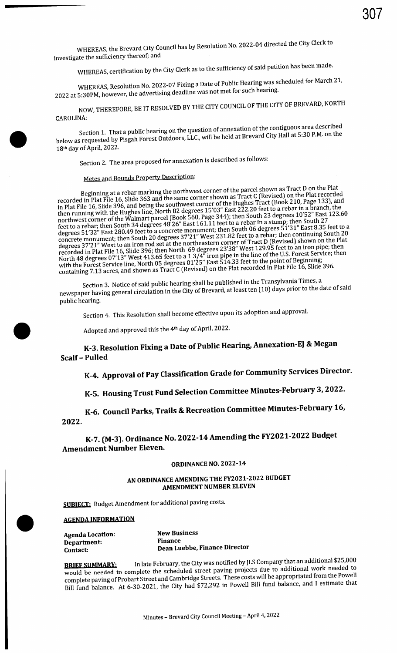WHEREAS, certification by the City Clerk as to the sufficiency of said petition has been made.

WHEREAS, Resolution No. 2022-07 Fixing a Date of Public Hearing was scheduled for March 21, 2022 at 5: 30PM, however, the advertising deadline was not met for such hearing.

NOW, THEREFORE, BE IT RESOLVED BY THE CITY COUNCIL OF THE CITY OF BREVARD, NORTH CAROLINA:

Section 1. That a public hearing on the question of annexation of the contiguous area described below as requested by Pisgah Forest Outdoors, LLC., will be held at Brevard City Hall at 5: 30 P.M. on the 18th day of April, 2022.

Section 2. The area proposed for annexation is described as follows:

## Metes and Bounds Property Description:

Beginning at a rebar marking the northwest corner of the parcel shown as Tract D on the Plat recorded<br>Tract D on the Plat File 16, Slide 363 and the same corner shown as Tract C (Revised) on the Plat recorded in in Plat File 16, Slide 396, and being the southwest corner of the ruggles. There is a rebar in a branch, the<br>then running with the Hughes line, North 82 degrees 15'03" East 222.20 feet to a rebar in a branch, the<br>northwest feet to a rebar; then South 34 degrees 48'26" East 161.11 feet to a rebar in a stump; then South 27 feet to a rebar; then South 34 degrees 48'26" East  $\frac{1}{31}$ " East 8.35 f degrees 51'32" East 280.49 feet to a concrete monument; then South 06 degrees 51 31" East 8.35 feet to a<br>degrees 51'32" East 280.49 feet to a concrete monument; then south 06 degrees 51 31" East 8.35 feet to a concrete monument; then South <sup>20</sup> degrees <sup>37</sup>' 21" West 231.82 feet to <sup>a</sup> rebar; then continuing South <sup>20</sup> degrees 37'21" West to an iron rod set at the northeastern corner of Tract D (Revised) shown on the Plat<br>degrees 37'21" West to an iron rod set at the north 69 degrees 23'38" West 129.95 feet to an iron pipe; then<br>recorded North 48 degrees 07'13" West 413.65 feet to a 1 3/4" iron pipe in the line of the U.S. Forest Service; then Nor<br>With the Forest Service line, North 05 degrees 01'25" East 514.33 feet to the point of Beginning;<br>with the For containing 7.13 acres, and shown as Tract C (Revised) on the Plat recorded in Plat  $\sim$ **Contract Control of Contract Contract Control of Contract Contract Control of Contract Contract Control of Contract Contract Control of Contract Contract Contract Contract Contract Contract Contract Contract Contract Con** 

Section 3. Notice of said public hearing shall be published in the Transylvania Times, a newspaper having general circulation in the City of Brevard, at least ten (10) days prior to the date of said public hearing.

Section 4. This Resolution shall become effective upon its adoption and approval.

Adopted and approved this the 4<sup>th</sup> day of April, 2022.

## K-3. Resolution Fixing <sup>a</sup> Date of Public Hearing, Annexation -EJ & Megan Scalf - Pulled

# K-4. Approval of Pay Classification Grade for Community Services Director.

# K -S. Housing Trust Fund Selection Committee Minutes -February 3, 2022.

K-6. Council Parks, Trails & Recreation Committee Minutes -February 16, 2022.

K-7. (M-3). Ordinance No. 2022-14 Amending the FY2021-2022 Budget Amendment Number Eleven.

#### **ORDINANCE NO. 2022-14**

#### AN ORDINANCE AMENDING THE FY2021-2022 BUDGET AMENDMENT NUMBER ELEVEN

**SUBIECT:** Budget Amendment for additional paving costs.

**New Business** Finance

#### AGENDA INFORMATION

| <b>Agenda Location:</b> |  |
|-------------------------|--|
| Department:             |  |
| Contact:                |  |

**BRIEF SUMMARY:** In late February, the City was notified by JLS Company that all additional  $\mu_{25}$ ,  $\mu_{25}$ would be needed to complete the scheduled street paving projects due to additional work needed to  $\omega$ complete paving of Probart Street and Cambridge Streets. These costs will be appropriated from the Powell Bill fund balance. At 6-30-2021, the City had \$72,292 in Powell Bill fund balance, and I estimate that

Dean Luebbe, Finance Director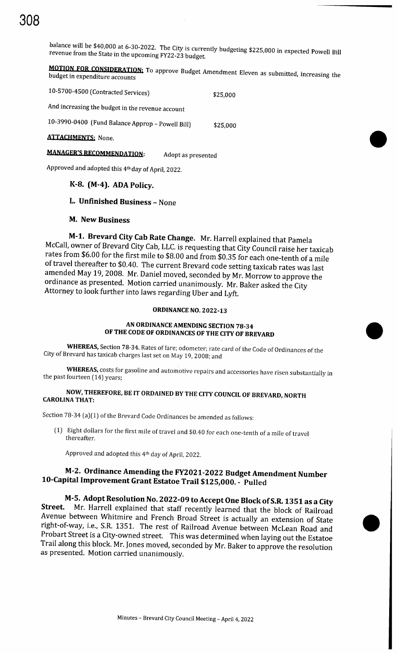balance will be \$40,000 at 6-30-2022. The City is currently budgeting \$225,000 in expected Powell Bill revenue from the State in the upcoming FY22-23 budget.

**MOTION FOR CONSIDERATION:** To approve Budget Amendment Eleven as submitted, increasing the budget in expenditure accounts

10-5700-4500 (Contracted Services) \$25,000 And increasing the budget in the revenue account 10- 3990-0400 ( Fund Balance Approp - Powell Bill) \$ 25,000

#### **ATTACHMENTS: None.**

### **MANAGER'S RECOMMENDATION:** Adopt as presented

Approved and adopted this 41h day of April, 2022.

#### K-8. ( M-4). ADA Policy.

#### L. Unfinished Business - None

#### M. New Business

M-1. Brevard City Cab Rate Change. Mr. Harrell explained that Pamela McCall, owner of Brevard City Cab, LLC. is requesting that City Council raise her taxicab rates from \$6. <sup>00</sup> for the first mile to \$8.00 and from \$0. <sup>35</sup> for each one-tenth of <sup>a</sup> mile of travel thereafter to \$0.40. The current Brevard code setting taxicab rates was last amended May 19, 2008. Mr. Daniel moved, seconded by Mr. Morrow to approve the ordinance as presented. Motion carried unanimously. Mr. Baker asked the City Attorney to look further into laws regarding Uber and Lyft.

#### **ORDINANCE NO. 2022-13**

#### AN ORDINANCE AMENDING SECTION 78-34 OF THE CODE OF ORDINANCES OF THE CITY OF BREVARD

WHEREAS, Section 78-34. Rates of fare; odometer; rate card of the Code of Ordinances of the City of Brevard has taxicab charges last set on May 19, 2008; and

WHEREAS, costs for gasoline and automotive repairs and accessories have risen substantially in the past fourteen (14) years;

#### NOW, THEREFORE, BE IT ORDAINED BY THE CITY COUNCIL OF BREVARD, NORTH CAROLINA THAT:

Section 78-34 (a)(1) of the Brevard Code Ordinances be amended as follows:

1) Eight dollars for the first mile of travel and \$0.40 for each one-tenth of <sup>a</sup> mile of travel thereafter.

Approved and adopted this 4th day of April, 2022.

### M-2. Ordinance Amending the FY2021-2022 Budget Amendment Number 10 -Capital Improvement Grant Estatoe Trail \$125,000. - Pulled

M- 5. Adopt Resolution No. 2022-09 to Accept One Block of S.R. 1351 as a City<br>Street. Mr. Harrell explained that staff recently learned that the block of Railroad Avenue between Whitmire and French Broad Street is actually an extension of State right-of-way, i.e., S.R. 1351. The rest of Railroad Avenue between McLean Road and Probart Street is <sup>a</sup> City -owned street. This was determined when laying out the Estatoe Trail along this block. Mr. Jones moved, seconded by Mr. Baker to approve the resolution as presented. Motion carried unanimously.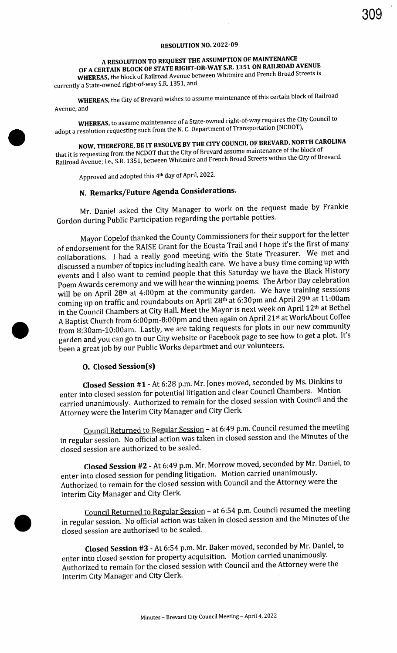#### RESOLUTION NO. 2022-09

## A RESOLUTION TO REQUEST THE ASSUMPTION OF MAINTENANCE

OF A CERTAIN BLOCK OF STATE RIGHT-OR-WAY S.R. 1351 ON RAILROAD AVENUE WHEREAS, the block of Railroad Avenue between Whitmire and French Broad Streets is currently a State-owned right-of-way S.R. 1351, and

WHEREAS, the City of Brevard wishes to assume maintenance of this certain block of Railroad Avenue, and

WHEREAS, to assume maintenance of a State-owned right-of-way requires the City Council to adopt a resolution requesting such from the N. C. Department of Transportation (NCDOT),

NOW,THEREFORE, BE IT RESOLVE BY THE CITY COUNCIL OF BREVARD, NORTH CAROLINA that it is requesting from the NCDOT that the City of Brevard assume maintenance of the block of Railroad Avenue; i.e., S. R. 1351, between Whitmire and French Broad Streets within the City of Brevard.

Approved and adopted this 4<sup>th</sup> day of April, 2022.

## N. Remarks/ Future Agenda Considerations.

Mr. Daniel asked the City Manager to work on the request made by Frankie Gordon during Public Participation regarding the portable potties.

Mayor Copelof thanked the County Commissioners for their support for the letter of endorsement for the RAISE Grant for the Ecusta Trail and <sup>I</sup> hope it's the first of many collaborations. <sup>I</sup> had <sup>a</sup> really good meeting with the State Treasurer. We met and discussed <sup>a</sup> number of topics including health care. We have <sup>a</sup> busy time coming up with events and I also want to remind people that this Saturday we have the Black History Poem Awards ceremony and we will hear the winning poems. The Arbor Day celebration will be on April 28<sup>th</sup> at 4:00pm at the community garden. We have training sessions coming up on traffic and roundabouts on April 28th at 6:30pm and April 29th at 11:00am in the Council Chambers at City Hall. Meet the Mayor is next week on April 12th at Bethel A Baptist Church from 6:00pm-8:00pm and then again on April 21st at WorkAbout Coffee from 8:30am-10:00am. Lastly, we are taking requests for plots in our new community garden and you can go to our City website or Facebook page to see how to get <sup>a</sup> plot. It's been a great job by our Public Works departmet and our volunteers.

#### O. Closed Session(s)

Closed Session #1 - At 6:28 p.m. Mr. Jones moved, seconded by Ms. Dinkins to enter into closed session for potential litigation and clear Council Chambers. Motion carried unanimously. Authorized to remain for the closed session with Council and the Attorney were the Interim City Manager and City Clerk.

Council Returned to Regular Session - at 6: 49 p.m. Council resumed the meeting in regular session. No official action was taken in closed session and the Minutes of the closed session are authorized to be sealed.

Closed Session #2 - At 6:49 p.m. Mr. Morrow moved, seconded by Mr. Daniel, to enter into closed session for pending litigation. Motion carried unanimously. Authorized to remain for the closed session with Council and the Attorney were the Interim City Manager and City Clerk.

Council Returned to Regular Session - at 6:54 p.m. Council resumed the meeting in regular session. No official action was taken in closed session and the Minutes of the closed session are authorized to be sealed.

Closed Session #3 - At 6:54 p.m. Mr. Baker moved, seconded by Mr. Daniel, to enter into closed session for property acquisition. Motion carried unanimously. Authorized to remain for the closed session with Council and the Attorney were the Interim City Manager and City Clerk.